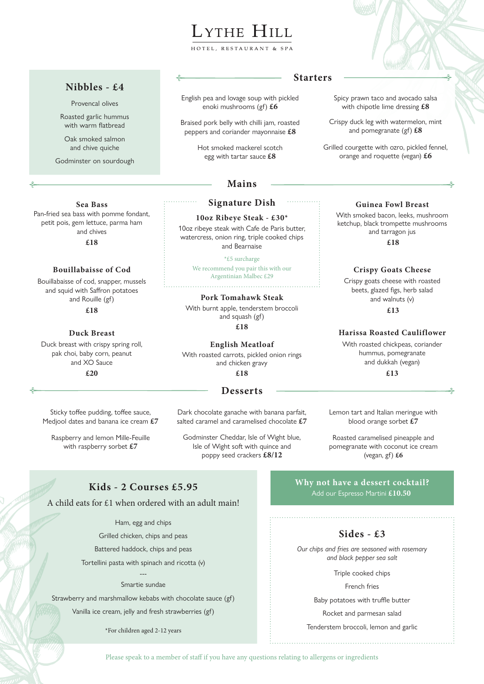# LYTHE HILL

HOTEL, RESTAURANT

# **Nibbles - £4**

Provencal olives

Roasted garlic hummus with warm flatbread

Oak smoked salmon and chive quiche

Godminster on sourdough

## **Sea Bass**

Pan-fried sea bass with pomme fondant, petit pois, gem lettuce, parma ham and chives

**£18**

### **Bouillabaisse of Cod**

Bouillabaisse of cod, snapper, mussels and squid with Saffron potatoes and Rouille (gf)

**£18**

#### **Duck Breast**

Duck breast with crispy spring roll, pak choi, baby corn, peanut and XO Sauce **£20**

Sticky toffee pudding, toffee sauce, Medjool dates and banana ice cream **£7**

Raspberry and lemon Mille-Feuille with raspberry sorbet **£7**

# **Starters**

English pea and lovage soup with pickled enoki mushrooms (gf) **£6**

Braised pork belly with chilli jam, roasted peppers and coriander mayonnaise **£8**

> Hot smoked mackerel scotch egg with tartar sauce **£8**

# **Mains**

#### **Signature Dish**

**10oz Ribeye Steak - £30\*** 10oz ribeye steak with Cafe de Paris butter,

watercress, onion ring, triple cooked chips and Bearnaise

\*£5 surcharge We recommend you pair this with our Argentinian Malbec £29

#### **Pork Tomahawk Steak**

With burnt apple, tenderstem broccoli and squash (gf)

**£18**

#### **English Meatloaf**

With roasted carrots, pickled onion rings and chicken gravy **£18**

#### **Desserts**

Dark chocolate ganache with banana parfait, salted caramel and caramelised chocolate **£7**

Godminster Cheddar, Isle of Wight blue, Isle of Wight soft with quince and poppy seed crackers **£8/12**

#### **Guinea Fowl Breast**

Spicy prawn taco and avocado salsa with chipotle lime dressing **£8** Crispy duck leg with watermelon, mint and pomegranate (gf) **£8**

Grilled courgette with ozro, pickled fennel, orange and roquette (vegan) **£6**

> With smoked bacon, leeks, mushroom ketchup, black trompette mushrooms and tarragon jus

> > **£18**

#### **Crispy Goats Cheese**

Crispy goats cheese with roasted beets, glazed figs, herb salad and walnuts (v)

 **£13**

#### **Harissa Roasted Cauliflower**

With roasted chickpeas, coriander hummus, pomegranate and dukkah (vegan) **£13**

Lemon tart and Italian meringue with blood orange sorbet **£7**

Roasted caramelised pineapple and pomegranate with coconut ice cream (vegan, gf) **£6**

# **Kids - 2 Courses £5.95**

A child eats for £1 when ordered with an adult main!

Ham, egg and chips

Grilled chicken, chips and peas

Battered haddock, chips and peas

Tortellini pasta with spinach and ricotta (v)

#### --- Smartie sundae

Strawberry and marshmallow kebabs with chocolate sauce (gf)

Vanilla ice cream, jelly and fresh strawberries (gf)

\*For children aged 2-12 years

**Why not have a dessert cocktail?** Add our Espresso Martini **£10.50**

# **Sides - £3**

*Our chips and fries are seasoned with rosemary and black pepper sea salt*

Triple cooked chips

#### French fries

Baby potatoes with truffle butter

Rocket and parmesan salad

Tenderstem broccoli, lemon and garlic

Please speak to a member of staff if you have any questions relating to allergens or ingredients